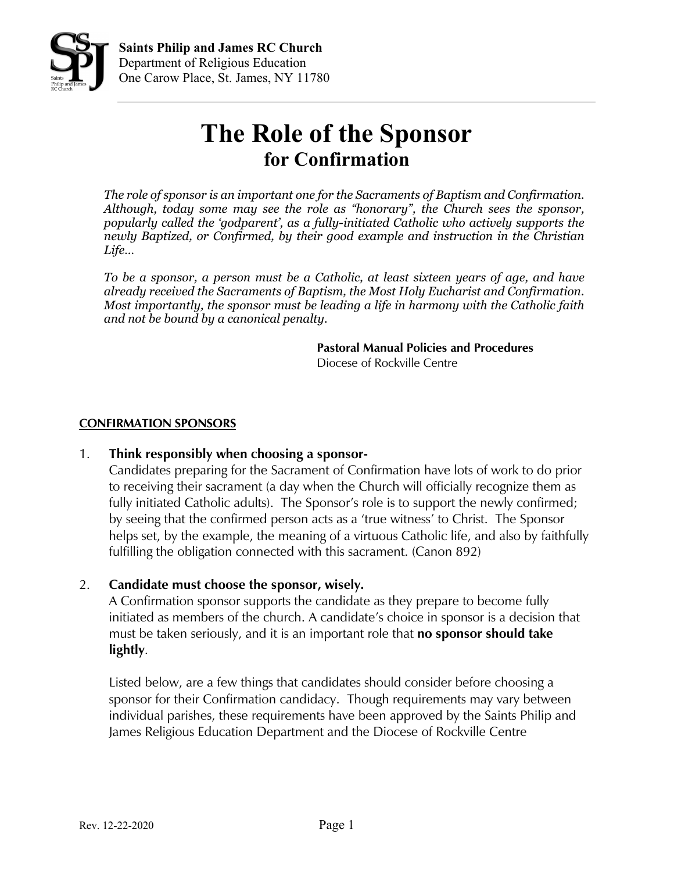

## **The Role of the Sponsor for Confirmation**

*The role of sponsor is an important one for the Sacraments of Baptism and Confirmation. Although, today some may see the role as "honorary", the Church sees the sponsor, popularly called the 'godparent', as a fully-initiated Catholic who actively supports the newly Baptized, or Confirmed, by their good example and instruction in the Christian Life…* 

*To be a sponsor, a person must be a Catholic, at least sixteen years of age, and have already received the Sacraments of Baptism, the Most Holy Eucharist and Confirmation. Most importantly, the sponsor must be leading a life in harmony with the Catholic faith and not be bound by a canonical penalty.*

> **Pastoral Manual Policies and Procedures** Diocese of Rockville Centre

## **CONFIRMATION SPONSORS**

## 1. **Think responsibly when choosing a sponsor-**

Candidates preparing for the Sacrament of Confirmation have lots of work to do prior to receiving their sacrament (a day when the Church will officially recognize them as fully initiated Catholic adults). The Sponsor's role is to support the newly confirmed; by seeing that the confirmed person acts as a 'true witness' to Christ. The Sponsor helps set, by the example, the meaning of a virtuous Catholic life, and also by faithfully fulfilling the obligation connected with this sacrament. (Canon 892)

## 2. **Candidate must choose the sponsor, wisely.**

A Confirmation sponsor supports the candidate as they prepare to become fully initiated as members of the church. A candidate's choice in sponsor is a decision that must be taken seriously, and it is an important role that **no sponsor should take lightly**.

Listed below, are a few things that candidates should consider before choosing a sponsor for their Confirmation candidacy. Though requirements may vary between individual parishes, these requirements have been approved by the Saints Philip and James Religious Education Department and the Diocese of Rockville Centre